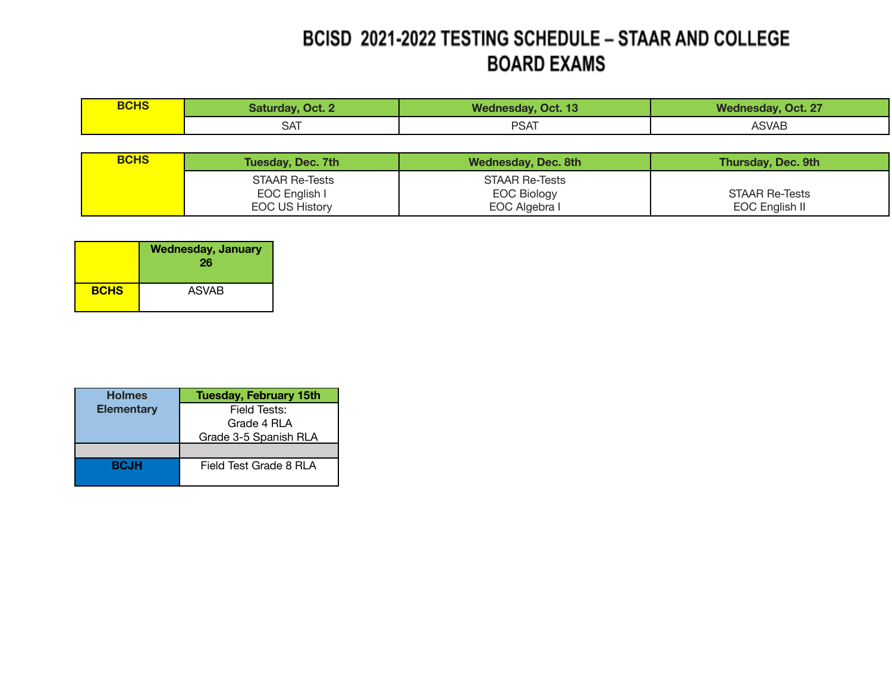## BCISD 2021-2022 TESTING SCHEDULE - STAAR AND COLLEGE **BOARD EXAMS**

| <b>BCHS</b> | <b>Saturday, Oct. 2</b> | <b>Wednesday, Oct. 13</b> | <b>Wednesday, Oct. 27</b> |
|-------------|-------------------------|---------------------------|---------------------------|
|             | SАI                     | <b>PSAT</b>               | <b>ASVAB</b>              |

| <b>BCHS</b> | Tuesday, Dec. 7th     | Wednesday, Dec. 8th | <b>Thursday, Dec. 9th</b> |
|-------------|-----------------------|---------------------|---------------------------|
|             | STAAR Re-Tests        | STAAR Re-Tests      |                           |
|             | EOC English I         | <b>EOC Biology</b>  | STAAR Re-Tests            |
|             | <b>EOC US History</b> | EOC Algebra I       | EOC English II            |

|             | <b>Wednesday, January</b><br>26 |
|-------------|---------------------------------|
| <b>BCHS</b> | <b>ASVAB</b>                    |

| <b>Holmes</b>     | <b>Tuesday, February 15th</b> |  |
|-------------------|-------------------------------|--|
| <b>Elementary</b> | Field Tests:                  |  |
|                   | Grade 4 RLA                   |  |
|                   | Grade 3-5 Spanish RLA         |  |
|                   |                               |  |
| <b>BCJH</b>       | Field Test Grade 8 RLA        |  |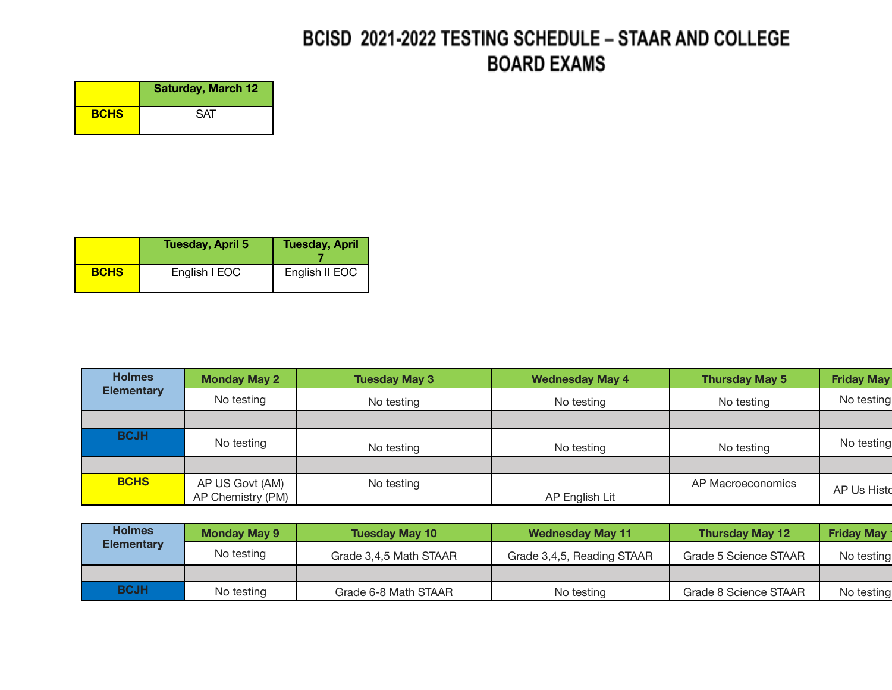## BCISD 2021-2022 TESTING SCHEDULE - STAAR AND COLLEGE **BOARD EXAMS**

|             | <b>Saturday, March 12</b> |
|-------------|---------------------------|
| <b>BCHS</b> | <b>SAT</b>                |

|             | <b>Tuesday, April 5</b> | <b>Tuesday, April</b> |
|-------------|-------------------------|-----------------------|
| <b>BCHS</b> | English I EOC           | English II EOC        |

| <b>Holmes</b>     | <b>Monday May 2</b> | <b>Tuesday May 3</b> | <b>Wednesday May 4</b> | <b>Thursday May 5</b> | <b>Friday May</b> |
|-------------------|---------------------|----------------------|------------------------|-----------------------|-------------------|
| <b>Elementary</b> | No testing          | No testing           | No testing             | No testing            | No testing        |
|                   |                     |                      |                        |                       |                   |
| <b>BCJH</b>       | No testing          | No testing           | No testing             | No testing            | No testing        |
|                   |                     |                      |                        |                       |                   |
| <b>BCHS</b>       | AP US Govt (AM)     | No testing           |                        | AP Macroeconomics     | AP Us Histo       |
|                   | AP Chemistry (PM)   |                      | AP English Lit         |                       |                   |

| <b>Holmes</b>     | <b>Monday May 9</b> | <b>Tuesday May 10</b>  | <b>Wednesday May 11</b>    | <b>Thursday May 12</b> | <b>Friday May 1</b> |
|-------------------|---------------------|------------------------|----------------------------|------------------------|---------------------|
| <b>Elementary</b> | No testing          | Grade 3,4,5 Math STAAR | Grade 3,4,5, Reading STAAR | Grade 5 Science STAAR  | No testing          |
|                   |                     |                        |                            |                        |                     |
| <b>BCJH</b>       | No testing          | Grade 6-8 Math STAAR   | No testing                 | Grade 8 Science STAAR  | No testing          |